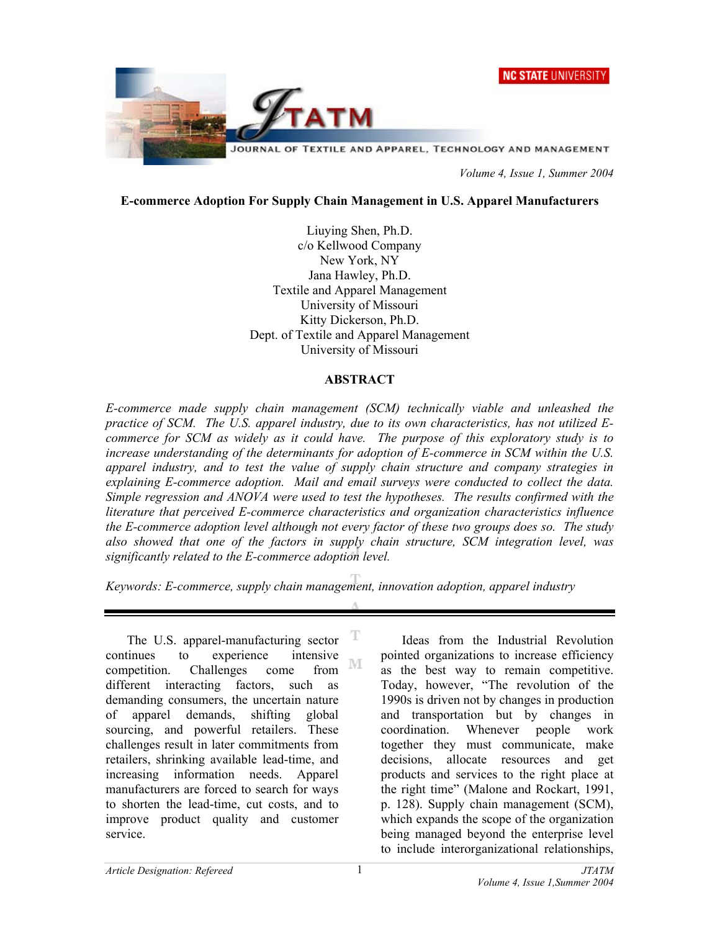



 *Volume 4, Issue 1, Summer 2004* 

#### **E-commerce Adoption For Supply Chain Management in U.S. Apparel Manufacturers**

Liuying Shen, Ph.D. c/o Kellwood Company New York, NY Jana Hawley, Ph.D. Textile and Apparel Management University of Missouri Kitty Dickerson, Ph.D. Dept. of Textile and Apparel Management University of Missouri

#### **ABSTRACT**

*E-commerce made supply chain management (SCM) technically viable and unleashed the practice of SCM. The U.S. apparel industry, due to its own characteristics, has not utilized Ecommerce for SCM as widely as it could have. The purpose of this exploratory study is to increase understanding of the determinants for adoption of E-commerce in SCM within the U.S. apparel industry, and to test the value of supply chain structure and company strategies in explaining E-commerce adoption. Mail and email surveys were conducted to collect the data. Simple regression and ANOVA were used to test the hypotheses. The results confirmed with the literature that perceived E-commerce characteristics and organization characteristics influence the E-commerce adoption level although not every factor of these two groups does so. The study also showed that one of the factors in supply chain structure, SCM integration level, was significantly related to the E-commerce adoption level.* 

*Keywords: E-commerce, supply chain management, innovation adoption, apparel industry*

The U.S. apparel-manufacturing sector continues to experience intensive M competition. Challenges come from different interacting factors, such as demanding consumers, the uncertain nature of apparel demands, shifting global sourcing, and powerful retailers. These challenges result in later commitments from retailers, shrinking available lead-time, and increasing information needs. Apparel manufacturers are forced to search for ways to shorten the lead-time, cut costs, and to improve product quality and customer service.

Ideas from the Industrial Revolution pointed organizations to increase efficiency as the best way to remain competitive. Today, however, "The revolution of the 1990s is driven not by changes in production and transportation but by changes in coordination. Whenever people work together they must communicate, make decisions, allocate resources and get products and services to the right place at the right time" (Malone and Rockart, 1991, p. 128). Supply chain management (SCM), which expands the scope of the organization being managed beyond the enterprise level to include interorganizational relationships,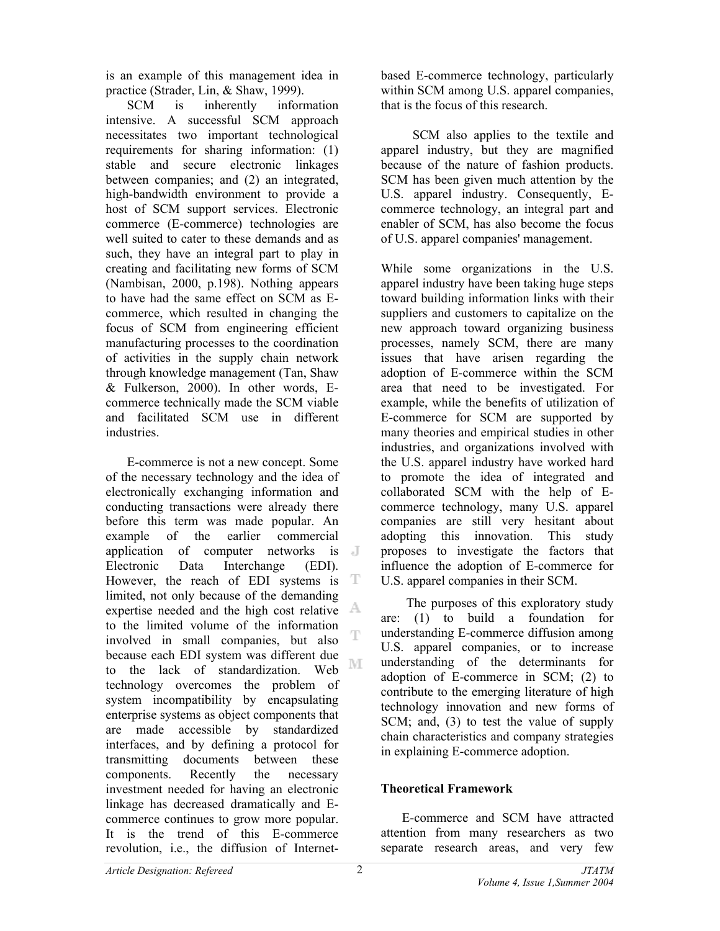is an example of this management idea in practice (Strader, Lin, & Shaw, 1999).

SCM is inherently information intensive. A successful SCM approach necessitates two important technological requirements for sharing information: (1) stable and secure electronic linkages between companies; and (2) an integrated, high-bandwidth environment to provide a host of SCM support services. Electronic commerce (E-commerce) technologies are well suited to cater to these demands and as such, they have an integral part to play in creating and facilitating new forms of SCM (Nambisan, 2000, p.198). Nothing appears to have had the same effect on SCM as Ecommerce, which resulted in changing the focus of SCM from engineering efficient manufacturing processes to the coordination of activities in the supply chain network through knowledge management (Tan, Shaw & Fulkerson, 2000). In other words, Ecommerce technically made the SCM viable and facilitated SCM use in different industries.

E-commerce is not a new concept. Some of the necessary technology and the idea of electronically exchanging information and conducting transactions were already there before this term was made popular. An example of the earlier commercial application of computer networks is Electronic Data Interchange (EDI). However, the reach of EDI systems is T limited, not only because of the demanding expertise needed and the high cost relative to the limited volume of the information T involved in small companies, but also because each EDI system was different due ΝE to the lack of standardization. Web technology overcomes the problem of system incompatibility by encapsulating enterprise systems as object components that are made accessible by standardized interfaces, and by defining a protocol for transmitting documents between these components. Recently the necessary investment needed for having an electronic linkage has decreased dramatically and Ecommerce continues to grow more popular. It is the trend of this E-commerce revolution, i.e., the diffusion of Internetbased E-commerce technology, particularly within SCM among U.S. apparel companies, that is the focus of this research.

SCM also applies to the textile and apparel industry, but they are magnified because of the nature of fashion products. SCM has been given much attention by the U.S. apparel industry. Consequently, Ecommerce technology, an integral part and enabler of SCM, has also become the focus of U.S. apparel companies' management.

While some organizations in the U.S. apparel industry have been taking huge steps toward building information links with their suppliers and customers to capitalize on the new approach toward organizing business processes, namely SCM, there are many issues that have arisen regarding the adoption of E-commerce within the SCM area that need to be investigated. For example, while the benefits of utilization of E-commerce for SCM are supported by many theories and empirical studies in other industries, and organizations involved with the U.S. apparel industry have worked hard to promote the idea of integrated and collaborated SCM with the help of Ecommerce technology, many U.S. apparel companies are still very hesitant about adopting this innovation. This study proposes to investigate the factors that influence the adoption of E-commerce for U.S. apparel companies in their SCM.

The purposes of this exploratory study are: (1) to build a foundation for understanding E-commerce diffusion among U.S. apparel companies, or to increase understanding of the determinants for adoption of E-commerce in SCM; (2) to contribute to the emerging literature of high technology innovation and new forms of SCM; and, (3) to test the value of supply chain characteristics and company strategies in explaining E-commerce adoption.

## **Theoretical Framework**

E-commerce and SCM have attracted attention from many researchers as two separate research areas, and very few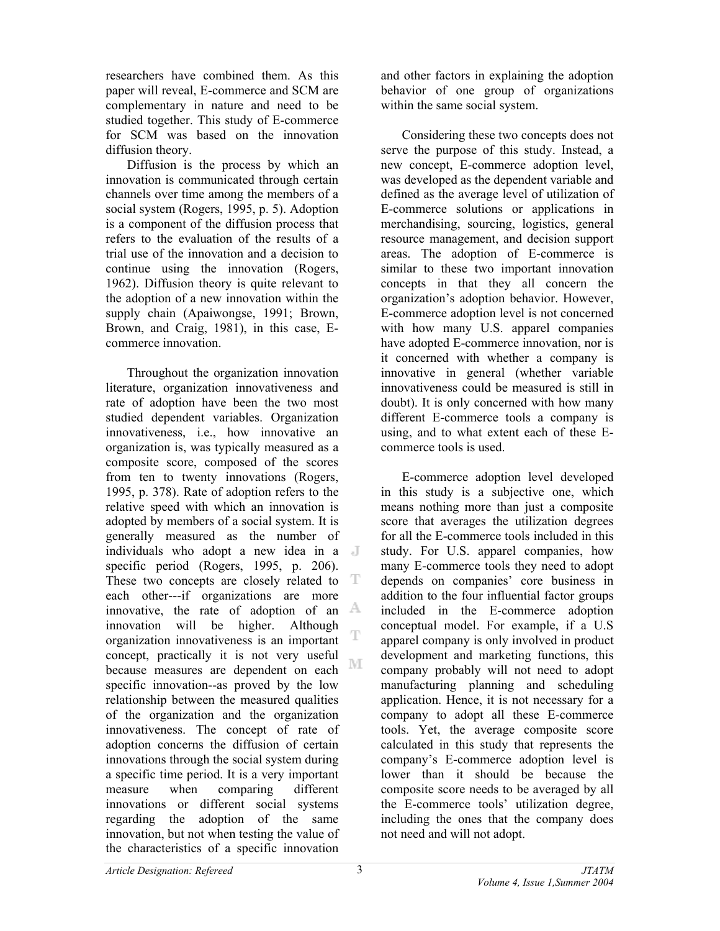researchers have combined them. As this paper will reveal, E-commerce and SCM are complementary in nature and need to be studied together. This study of E-commerce for SCM was based on the innovation diffusion theory.

Diffusion is the process by which an innovation is communicated through certain channels over time among the members of a social system (Rogers, 1995, p. 5). Adoption is a component of the diffusion process that refers to the evaluation of the results of a trial use of the innovation and a decision to continue using the innovation (Rogers, 1962). Diffusion theory is quite relevant to the adoption of a new innovation within the supply chain (Apaiwongse, 1991; Brown, Brown, and Craig, 1981), in this case, Ecommerce innovation.

Throughout the organization innovation literature, organization innovativeness and rate of adoption have been the two most studied dependent variables. Organization innovativeness, i.e., how innovative an organization is, was typically measured as a composite score, composed of the scores from ten to twenty innovations (Rogers, 1995, p. 378). Rate of adoption refers to the relative speed with which an innovation is adopted by members of a social system. It is generally measured as the number of individuals who adopt a new idea in a specific period (Rogers, 1995, p. 206). These two concepts are closely related to T each other---if organizations are more innovative, the rate of adoption of an  $A$ innovation will be higher. Although T organization innovativeness is an important concept, practically it is not very useful M because measures are dependent on each specific innovation--as proved by the low relationship between the measured qualities of the organization and the organization innovativeness. The concept of rate of adoption concerns the diffusion of certain innovations through the social system during a specific time period. It is a very important measure when comparing different innovations or different social systems regarding the adoption of the same innovation, but not when testing the value of the characteristics of a specific innovation

and other factors in explaining the adoption behavior of one group of organizations within the same social system.

Considering these two concepts does not serve the purpose of this study. Instead, a new concept, E-commerce adoption level, was developed as the dependent variable and defined as the average level of utilization of E-commerce solutions or applications in merchandising, sourcing, logistics, general resource management, and decision support areas. The adoption of E-commerce is similar to these two important innovation concepts in that they all concern the organization's adoption behavior. However, E-commerce adoption level is not concerned with how many U.S. apparel companies have adopted E-commerce innovation, nor is it concerned with whether a company is innovative in general (whether variable innovativeness could be measured is still in doubt). It is only concerned with how many different E-commerce tools a company is using, and to what extent each of these Ecommerce tools is used.

E-commerce adoption level developed in this study is a subjective one, which means nothing more than just a composite score that averages the utilization degrees for all the E-commerce tools included in this study. For U.S. apparel companies, how many E-commerce tools they need to adopt depends on companies' core business in addition to the four influential factor groups included in the E-commerce adoption conceptual model. For example, if a U.S apparel company is only involved in product development and marketing functions, this company probably will not need to adopt manufacturing planning and scheduling application. Hence, it is not necessary for a company to adopt all these E-commerce tools. Yet, the average composite score calculated in this study that represents the company's E-commerce adoption level is lower than it should be because the composite score needs to be averaged by all the E-commerce tools' utilization degree, including the ones that the company does not need and will not adopt.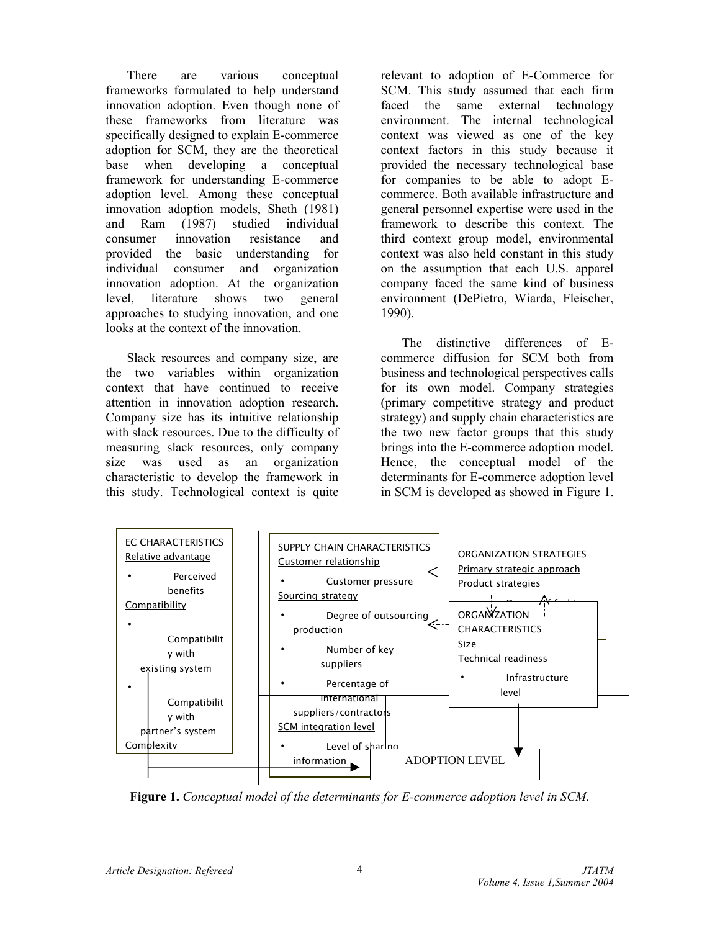There are various conceptual frameworks formulated to help understand innovation adoption. Even though none of these frameworks from literature was specifically designed to explain E-commerce adoption for SCM, they are the theoretical base when developing a conceptual framework for understanding E-commerce adoption level. Among these conceptual innovation adoption models, Sheth (1981) and Ram (1987) studied individual consumer innovation resistance and provided the basic understanding for individual consumer and organization innovation adoption. At the organization level, literature shows two general approaches to studying innovation, and one looks at the context of the innovation.

Slack resources and company size, are the two variables within organization context that have continued to receive attention in innovation adoption research. Company size has its intuitive relationship with slack resources. Due to the difficulty of measuring slack resources, only company size was used as an organization characteristic to develop the framework in this study. Technological context is quite relevant to adoption of E-Commerce for SCM. This study assumed that each firm faced the same external technology environment. The internal technological context was viewed as one of the key context factors in this study because it provided the necessary technological base for companies to be able to adopt Ecommerce. Both available infrastructure and general personnel expertise were used in the framework to describe this context. The third context group model, environmental context was also held constant in this study on the assumption that each U.S. apparel company faced the same kind of business environment (DePietro, Wiarda, Fleischer, 1990).

The distinctive differences of Ecommerce diffusion for SCM both from business and technological perspectives calls for its own model. Company strategies (primary competitive strategy and product strategy) and supply chain characteristics are the two new factor groups that this study brings into the E-commerce adoption model. Hence, the conceptual model of the determinants for E-commerce adoption level in SCM is developed as showed in Figure 1.



**Figure 1.** *Conceptual model of the determinants for E-commerce adoption level in SCM.*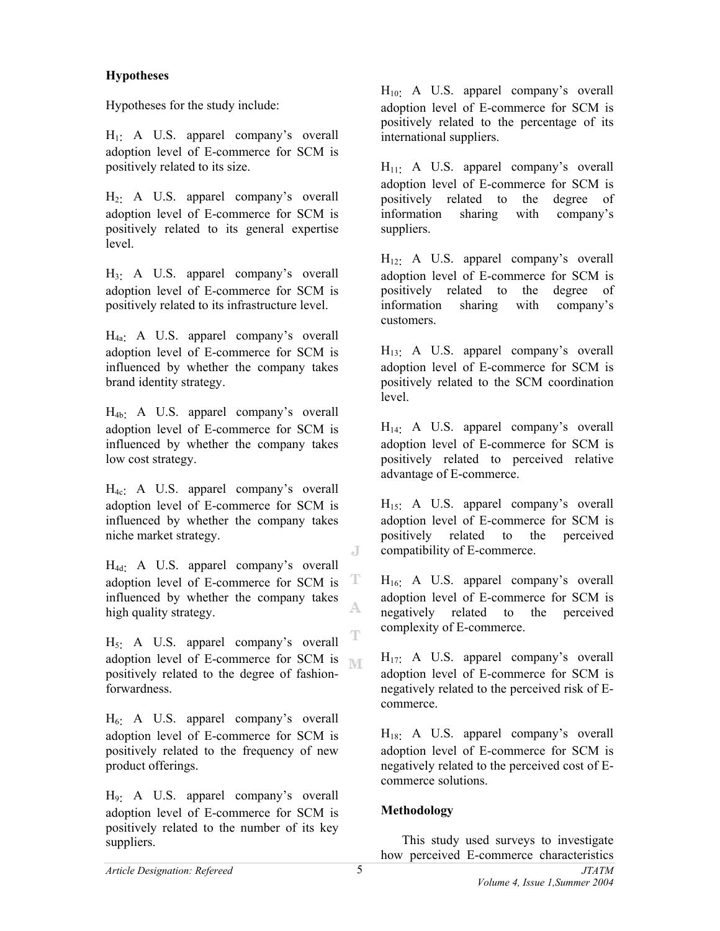### **Hypotheses**

Hypotheses for the study include:

 $H_1$ : A U.S. apparel company's overall adoption level of E-commerce for SCM is positively related to its size.

 $H_2$ : A U.S. apparel company's overall adoption level of E-commerce for SCM is positively related to its general expertise level.

 $H_3$ : A U.S. apparel company's overall adoption level of E-commerce for SCM is positively related to its infrastructure level.

H4a: A U.S. apparel company's overall adoption level of E-commerce for SCM is influenced by whether the company takes brand identity strategy.

H4b: A U.S. apparel company's overall adoption level of E-commerce for SCM is influenced by whether the company takes low cost strategy.

 $H_{4c}$ : A U.S. apparel company's overall adoption level of E-commerce for SCM is influenced by whether the company takes niche market strategy.

 $H_{4d}$ : A U.S. apparel company's overall adoption level of E-commerce for SCM is T influenced by whether the company takes high quality strategy.

 $H<sub>5</sub>$ . A U.S. apparel company's overall adoption level of E-commerce for SCM is  $\mathbb{N}$ positively related to the degree of fashionforwardness.

 $H_6$ : A U.S. apparel company's overall adoption level of E-commerce for SCM is positively related to the frequency of new product offerings.

H9: A U.S. apparel company's overall adoption level of E-commerce for SCM is positively related to the number of its key suppliers.

 $H_{10}$ : A U.S. apparel company's overall adoption level of E-commerce for SCM is positively related to the percentage of its international suppliers.

 $H_{11}$ : A U.S. apparel company's overall adoption level of E-commerce for SCM is positively related to the degree of information sharing with company's suppliers.

 $H_{12}$ : A U.S. apparel company's overall adoption level of E-commerce for SCM is positively related to the degree of information sharing with company's customers.

 $H_{13}$ : A U.S. apparel company's overall adoption level of E-commerce for SCM is positively related to the SCM coordination level.

 $H_{14}$ : A U.S. apparel company's overall adoption level of E-commerce for SCM is positively related to perceived relative advantage of E-commerce.

H<sub>15</sub>: A U.S. apparel company's overall adoption level of E-commerce for SCM is positively related to the perceived compatibility of E-commerce.

H<sub>16</sub>: A U.S. apparel company's overall adoption level of E-commerce for SCM is negatively related to the perceived complexity of E-commerce.

 $H_{17}$ : A U.S. apparel company's overall adoption level of E-commerce for SCM is negatively related to the perceived risk of Ecommerce.

 $H_{18}$ : A U.S. apparel company's overall adoption level of E-commerce for SCM is negatively related to the perceived cost of Ecommerce solutions.

## **Methodology**

This study used surveys to investigate how perceived E-commerce characteristics

J

A.

T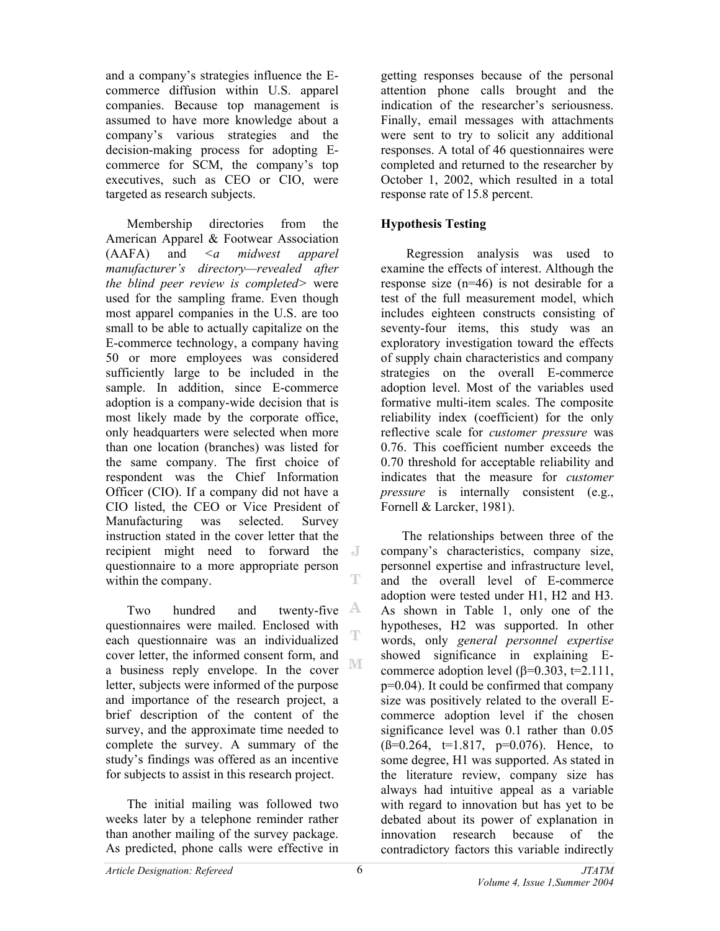and a company's strategies influence the Ecommerce diffusion within U.S. apparel companies. Because top management is assumed to have more knowledge about a company's various strategies and the decision-making process for adopting Ecommerce for SCM, the company's top executives, such as CEO or CIO, were targeted as research subjects.

Membership directories from the American Apparel & Footwear Association (AAFA) and *<a midwest apparel manufacturer's directory—revealed after the blind peer review is completed>* were used for the sampling frame. Even though most apparel companies in the U.S. are too small to be able to actually capitalize on the E-commerce technology, a company having 50 or more employees was considered sufficiently large to be included in the sample. In addition, since E-commerce adoption is a company-wide decision that is most likely made by the corporate office, only headquarters were selected when more than one location (branches) was listed for the same company. The first choice of respondent was the Chief Information Officer (CIO). If a company did not have a CIO listed, the CEO or Vice President of Manufacturing was selected. Survey instruction stated in the cover letter that the recipient might need to forward the questionnaire to a more appropriate person T within the company.

Two hundred and twenty-five  $\mathbb{A}$ questionnaires were mailed. Enclosed with T each questionnaire was an individualized cover letter, the informed consent form, and M a business reply envelope. In the cover letter, subjects were informed of the purpose and importance of the research project, a brief description of the content of the survey, and the approximate time needed to complete the survey. A summary of the study's findings was offered as an incentive for subjects to assist in this research project.

The initial mailing was followed two weeks later by a telephone reminder rather than another mailing of the survey package. As predicted, phone calls were effective in

getting responses because of the personal attention phone calls brought and the indication of the researcher's seriousness. Finally, email messages with attachments were sent to try to solicit any additional responses. A total of 46 questionnaires were completed and returned to the researcher by October 1, 2002, which resulted in a total response rate of 15.8 percent.

# **Hypothesis Testing**

Regression analysis was used to examine the effects of interest. Although the response size (n=46) is not desirable for a test of the full measurement model, which includes eighteen constructs consisting of seventy-four items, this study was an exploratory investigation toward the effects of supply chain characteristics and company strategies on the overall E-commerce adoption level. Most of the variables used formative multi-item scales. The composite reliability index (coefficient) for the only reflective scale for *customer pressure* was 0.76. This coefficient number exceeds the 0.70 threshold for acceptable reliability and indicates that the measure for *customer pressure* is internally consistent (e.g., Fornell & Larcker, 1981).

 The relationships between three of the company's characteristics, company size, personnel expertise and infrastructure level, and the overall level of E-commerce adoption were tested under H1, H2 and H3. As shown in Table 1, only one of the hypotheses, H2 was supported. In other words, only *general personnel expertise* showed significance in explaining Ecommerce adoption level ( $β=0.303$ ,  $t=2.111$ , p=0.04). It could be confirmed that company size was positively related to the overall Ecommerce adoption level if the chosen significance level was 0.1 rather than 0.05  $(\beta=0.264, t=1.817, p=0.076)$ . Hence, to some degree, H1 was supported. As stated in the literature review, company size has always had intuitive appeal as a variable with regard to innovation but has yet to be debated about its power of explanation in innovation research because of the contradictory factors this variable indirectly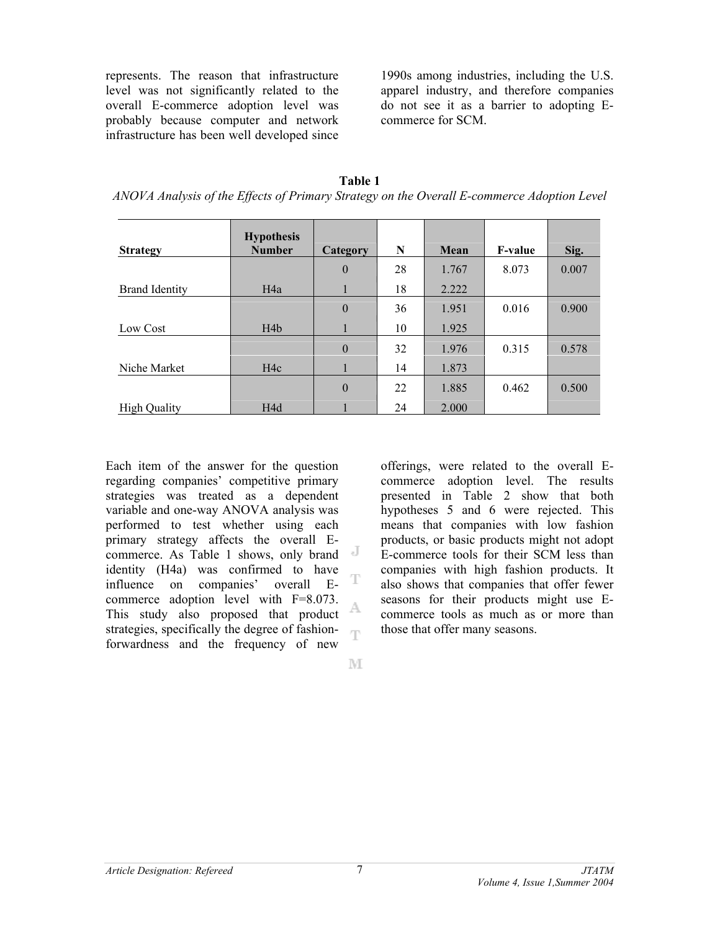represents. The reason that infrastructure level was not significantly related to the overall E-commerce adoption level was probably because computer and network infrastructure has been well developed since 1990s among industries, including the U.S. apparel industry, and therefore companies do not see it as a barrier to adopting Ecommerce for SCM.

| Table 1                                                                                    |
|--------------------------------------------------------------------------------------------|
| ANOVA Analysis of the Effects of Primary Strategy on the Overall E-commerce Adoption Level |

|                       | <b>Hypothesis</b><br><b>Number</b> |              | N  |       | <b>F-value</b> |       |
|-----------------------|------------------------------------|--------------|----|-------|----------------|-------|
| <b>Strategy</b>       |                                    | Category     |    | Mean  |                | Sig.  |
|                       |                                    | $\theta$     | 28 | 1.767 | 8.073          | 0.007 |
| <b>Brand Identity</b> | H <sub>4</sub> a                   | 1            | 18 | 2.222 |                |       |
|                       |                                    | $\mathbf{0}$ | 36 | 1.951 | 0.016          | 0.900 |
| Low Cost              | H4b                                | 1            | 10 | 1.925 |                |       |
|                       |                                    | $\theta$     | 32 | 1.976 | 0.315          | 0.578 |
| Niche Market          | H4c                                | 1            | 14 | 1.873 |                |       |
|                       |                                    | $\theta$     | 22 | 1.885 | 0.462          | 0.500 |
| <b>High Quality</b>   | H <sub>4</sub> d                   |              | 24 | 2.000 |                |       |

Each item of the answer for the question regarding companies' competitive primary strategies was treated as a dependent variable and one-way ANOVA analysis was performed to test whether using each primary strategy affects the overall Ecommerce. As Table 1 shows, only brand identity (H4a) was confirmed to have influence on companies' overall Ecommerce adoption level with F=8.073. A This study also proposed that product strategies, specifically the degree of fashion-T forwardness and the frequency of new

offerings, were related to the overall Ecommerce adoption level. The results presented in Table 2 show that both hypotheses 5 and 6 were rejected. This means that companies with low fashion products, or basic products might not adopt E-commerce tools for their SCM less than companies with high fashion products. It also shows that companies that offer fewer seasons for their products might use Ecommerce tools as much as or more than those that offer many seasons.

M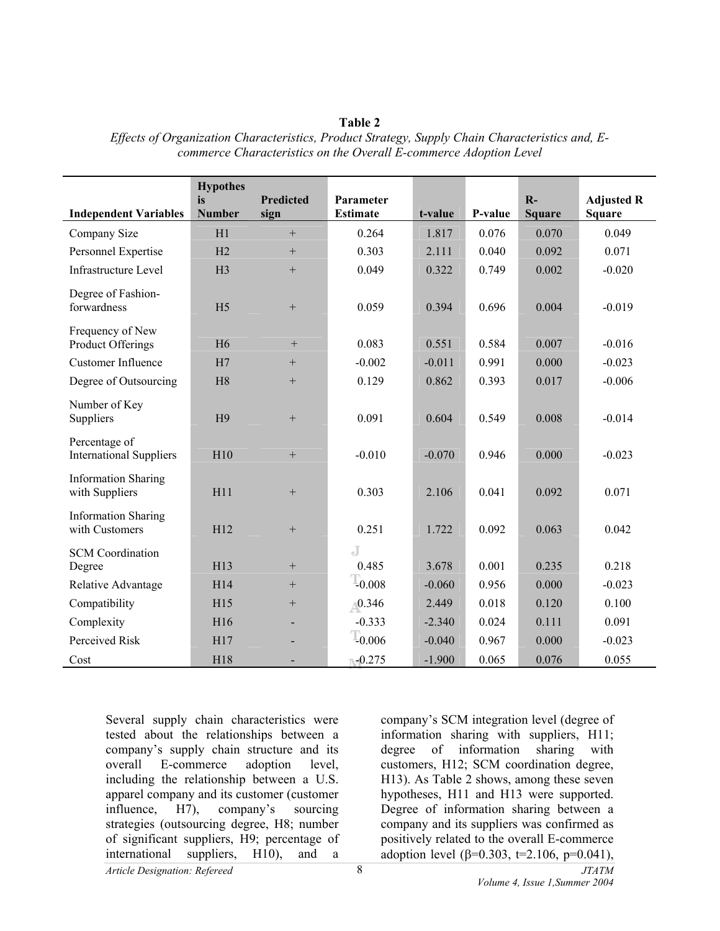|                                                 | <b>Hypothes</b><br>is | <b>Predicted</b> | Parameter           |          |         | $R -$         | <b>Adjusted R</b> |
|-------------------------------------------------|-----------------------|------------------|---------------------|----------|---------|---------------|-------------------|
| <b>Independent Variables</b>                    | <b>Number</b>         | sign             | <b>Estimate</b>     | t-value  | P-value | <b>Square</b> | <b>Square</b>     |
| Company Size                                    | H1                    | $+$              | 0.264               | 1.817    | 0.076   | 0.070         | 0.049             |
| Personnel Expertise                             | H2                    | $+$              | 0.303               | 2.111    | 0.040   | 0.092         | 0.071             |
| <b>Infrastructure Level</b>                     | H <sub>3</sub>        | $\! + \!\!\!\!$  | 0.049               | 0.322    | 0.749   | 0.002         | $-0.020$          |
| Degree of Fashion-<br>forwardness               | H <sub>5</sub>        |                  | 0.059               | 0.394    | 0.696   | 0.004         | $-0.019$          |
| Frequency of New<br>Product Offerings           | H <sub>6</sub>        | $+$              | 0.083               | 0.551    | 0.584   | 0.007         | $-0.016$          |
| <b>Customer Influence</b>                       | H7                    | $^{+}$           | $-0.002$            | $-0.011$ | 0.991   | 0.000         | $-0.023$          |
| Degree of Outsourcing                           | H <sub>8</sub>        | $\! + \!\!\!\!$  | 0.129               | 0.862    | 0.393   | 0.017         | $-0.006$          |
| Number of Key<br>Suppliers                      | H <sub>9</sub>        | $+$              | 0.091               | 0.604    | 0.549   | 0.008         | $-0.014$          |
| Percentage of<br><b>International Suppliers</b> | H10                   | $+$              | $-0.010$            | $-0.070$ | 0.946   | 0.000         | $-0.023$          |
| <b>Information Sharing</b><br>with Suppliers    | H11                   |                  | 0.303               | 2.106    | 0.041   | 0.092         | 0.071             |
| <b>Information Sharing</b><br>with Customers    | H12                   | $\! + \!$        | 0.251               | 1.722    | 0.092   | 0.063         | 0.042             |
| <b>SCM</b> Coordination<br>Degree               | H13                   | $\! + \!\!\!\!$  | J<br>0.485          | 3.678    | 0.001   | 0.235         | 0.218             |
| Relative Advantage                              | H14                   | $\! + \!\!\!\!$  | $\frac{1}{2}0.008$  | $-0.060$ | 0.956   | 0.000         | $-0.023$          |
| Compatibility                                   | H15                   | $\! + \!\!\!\!$  | $_{0.346}$          | 2.449    | 0.018   | 0.120         | 0.100             |
| Complexity                                      | H16                   | $\blacksquare$   | $-0.333$            | $-2.340$ | 0.024   | 0.111         | 0.091             |
| Perceived Risk                                  | H17                   |                  | $T_{0.006}$         | $-0.040$ | 0.967   | 0.000         | $-0.023$          |
| Cost                                            | H18                   |                  | $\mathbb{H}$ -0.275 | $-1.900$ | 0.065   | 0.076         | 0.055             |

**Table 2**  *Effects of Organization Characteristics, Product Strategy, Supply Chain Characteristics and, Ecommerce Characteristics on the Overall E-commerce Adoption Level*

*Article Designation: Refereed JTATM*  Several supply chain characteristics were tested about the relationships between a company's supply chain structure and its overall E-commerce adoption level, including the relationship between a U.S. apparel company and its customer (customer influence, H7), company's sourcing strategies (outsourcing degree, H8; number of significant suppliers, H9; percentage of international suppliers, H10), and a

company's SCM integration level (degree of information sharing with suppliers, H11; degree of information sharing with customers, H12; SCM coordination degree, H13). As Table 2 shows, among these seven hypotheses, H11 and H13 were supported. Degree of information sharing between a company and its suppliers was confirmed as positively related to the overall E-commerce adoption level (β=0.303, t=2.106, p=0.041),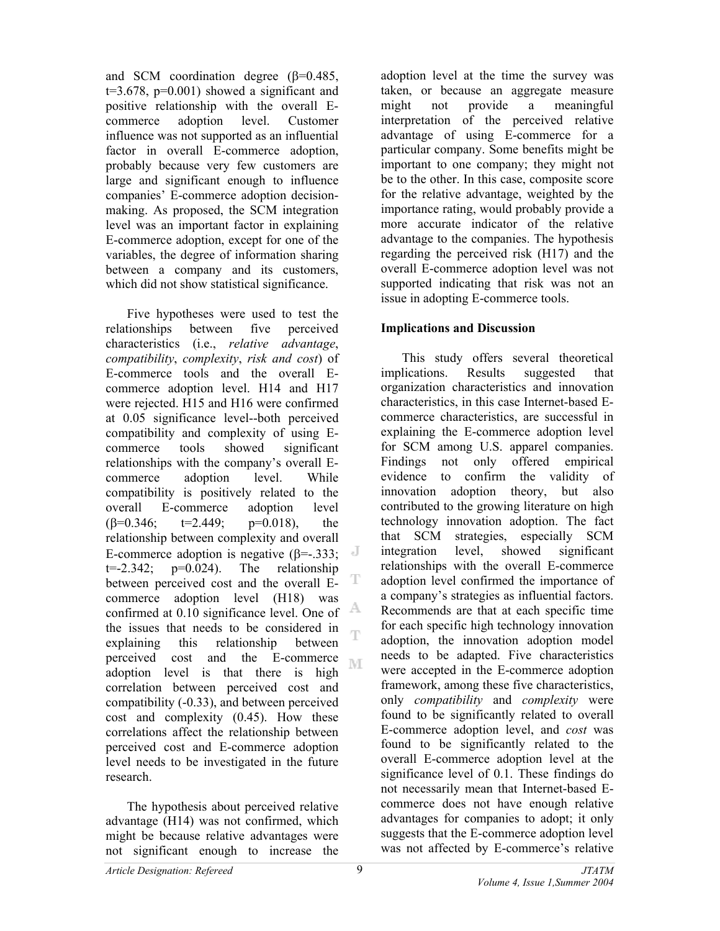and SCM coordination degree (β=0.485,  $t=3.678$ ,  $p=0.001$ ) showed a significant and positive relationship with the overall Ecommerce adoption level. Customer influence was not supported as an influential factor in overall E-commerce adoption, probably because very few customers are large and significant enough to influence companies' E-commerce adoption decisionmaking. As proposed, the SCM integration level was an important factor in explaining E-commerce adoption, except for one of the variables, the degree of information sharing between a company and its customers, which did not show statistical significance.

 Five hypotheses were used to test the relationships between five perceived characteristics (i.e., *relative advantage*, *compatibility*, *complexity*, *risk and cost*) of E-commerce tools and the overall Ecommerce adoption level. H14 and H17 were rejected. H15 and H16 were confirmed at 0.05 significance level--both perceived compatibility and complexity of using Ecommerce tools showed significant relationships with the company's overall Ecommerce adoption level. While compatibility is positively related to the overall E-commerce adoption level  $(\beta=0.346; t=2.449; p=0.018),$  the relationship between complexity and overall E-commerce adoption is negative  $(\beta = .333; \cdot \cdot \cdot)$  $t=-2.342$ ;  $p=0.024$ ). The relationship between perceived cost and the overall Ecommerce adoption level (H18) was A confirmed at 0.10 significance level. One of the issues that needs to be considered in Ŧ explaining this relationship between perceived cost and the E-commerce adoption level is that there is high correlation between perceived cost and compatibility (-0.33), and between perceived cost and complexity (0.45). How these correlations affect the relationship between perceived cost and E-commerce adoption level needs to be investigated in the future research.

 The hypothesis about perceived relative advantage (H14) was not confirmed, which might be because relative advantages were not significant enough to increase the

adoption level at the time the survey was taken, or because an aggregate measure might not provide a meaningful interpretation of the perceived relative advantage of using E-commerce for a particular company. Some benefits might be important to one company; they might not be to the other. In this case, composite score for the relative advantage, weighted by the importance rating, would probably provide a more accurate indicator of the relative advantage to the companies. The hypothesis regarding the perceived risk (H17) and the overall E-commerce adoption level was not supported indicating that risk was not an issue in adopting E-commerce tools.

#### **Implications and Discussion**

This study offers several theoretical implications. Results suggested that organization characteristics and innovation characteristics, in this case Internet-based Ecommerce characteristics, are successful in explaining the E-commerce adoption level for SCM among U.S. apparel companies. Findings not only offered empirical evidence to confirm the validity of innovation adoption theory, but also contributed to the growing literature on high technology innovation adoption. The fact that SCM strategies, especially SCM integration level, showed significant relationships with the overall E-commerce adoption level confirmed the importance of a company's strategies as influential factors. Recommends are that at each specific time for each specific high technology innovation adoption, the innovation adoption model needs to be adapted. Five characteristics were accepted in the E-commerce adoption framework, among these five characteristics, only *compatibility* and *complexity* were found to be significantly related to overall E-commerce adoption level, and *cost* was found to be significantly related to the overall E-commerce adoption level at the significance level of 0.1. These findings do not necessarily mean that Internet-based Ecommerce does not have enough relative advantages for companies to adopt; it only suggests that the E-commerce adoption level was not affected by E-commerce's relative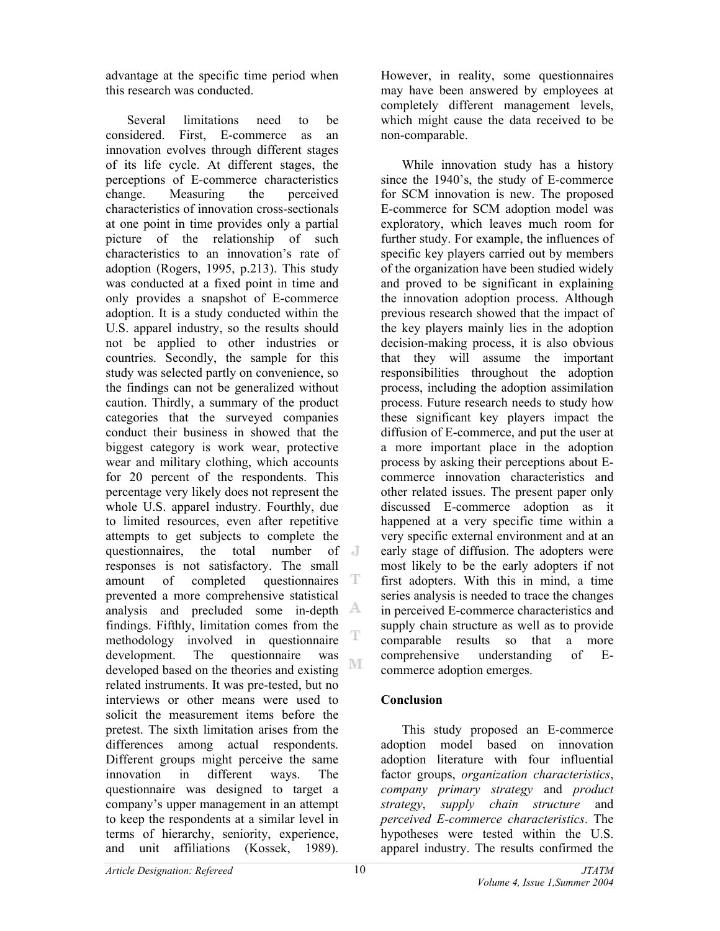advantage at the specific time period when this research was conducted.

Several limitations need to be considered. First, E-commerce as an innovation evolves through different stages of its life cycle. At different stages, the perceptions of E-commerce characteristics change. Measuring the perceived characteristics of innovation cross-sectionals at one point in time provides only a partial picture of the relationship of such characteristics to an innovation's rate of adoption (Rogers, 1995, p.213). This study was conducted at a fixed point in time and only provides a snapshot of E-commerce adoption. It is a study conducted within the U.S. apparel industry, so the results should not be applied to other industries or countries. Secondly, the sample for this study was selected partly on convenience, so the findings can not be generalized without caution. Thirdly, a summary of the product categories that the surveyed companies conduct their business in showed that the biggest category is work wear, protective wear and military clothing, which accounts for 20 percent of the respondents. This percentage very likely does not represent the whole U.S. apparel industry. Fourthly, due to limited resources, even after repetitive attempts to get subjects to complete the questionnaires, the total number of **J** responses is not satisfactory. The small amount of completed questionnaires T prevented a more comprehensive statistical analysis and precluded some in-depth findings. Fifthly, limitation comes from the T methodology involved in questionnaire development. The questionnaire was M developed based on the theories and existing related instruments. It was pre-tested, but no interviews or other means were used to solicit the measurement items before the pretest. The sixth limitation arises from the differences among actual respondents. Different groups might perceive the same innovation in different ways. The questionnaire was designed to target a company's upper management in an attempt to keep the respondents at a similar level in terms of hierarchy, seniority, experience, and unit affiliations (Kossek, 1989).

However, in reality, some questionnaires may have been answered by employees at completely different management levels, which might cause the data received to be non-comparable.

While innovation study has a history since the 1940's, the study of E-commerce for SCM innovation is new. The proposed E-commerce for SCM adoption model was exploratory, which leaves much room for further study. For example, the influences of specific key players carried out by members of the organization have been studied widely and proved to be significant in explaining the innovation adoption process. Although previous research showed that the impact of the key players mainly lies in the adoption decision-making process, it is also obvious that they will assume the important responsibilities throughout the adoption process, including the adoption assimilation process. Future research needs to study how these significant key players impact the diffusion of E-commerce, and put the user at a more important place in the adoption process by asking their perceptions about Ecommerce innovation characteristics and other related issues. The present paper only discussed E-commerce adoption as it happened at a very specific time within a very specific external environment and at an early stage of diffusion. The adopters were most likely to be the early adopters if not first adopters. With this in mind, a time series analysis is needed to trace the changes in perceived E-commerce characteristics and supply chain structure as well as to provide comparable results so that a more comprehensive understanding of Ecommerce adoption emerges.

## **Conclusion**

This study proposed an E-commerce adoption model based on innovation adoption literature with four influential factor groups, *organization characteristics*, *company primary strategy* and *product strategy*, *supply chain structure* and *perceived E-commerce characteristics*. The hypotheses were tested within the U.S. apparel industry. The results confirmed the